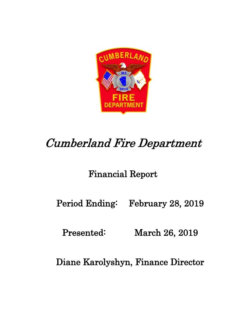

# Cumberland Fire Department

## Financial Report

Period Ending: February 28, 2019

Presented: March 26, 2019

Diane Karolyshyn, Finance Director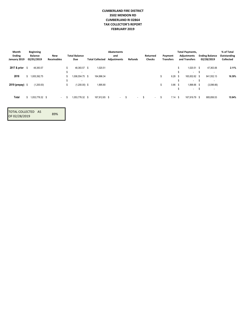#### **CUMBERLAND FIRE DISTRICT 3502 MENDON RD CUMBERLAND RI 02864 TAX COLLECTOR'S REPORT FEBRUARY 2019**

| Month<br><b>Ending</b><br>January 2019 |      | <b>Beginning</b><br><b>Balance</b><br>02/01/2019 | New<br><b>Receivables</b> |    | <b>Total Balance</b><br>Due | <b>Total Collected</b> | <b>Abatements</b><br>and<br><b>Adjustments</b> | <b>Refunds</b> |        | Returned<br><b>Checks</b> |        |   | Payment<br><b>Transfers</b> | <b>Total Payments,</b><br><b>Adjustments</b><br>and Transfers |          | <b>Ending Balance</b><br>02/28/2019 | % of Total<br>Outstanding<br>Collected |
|----------------------------------------|------|--------------------------------------------------|---------------------------|----|-----------------------------|------------------------|------------------------------------------------|----------------|--------|---------------------------|--------|---|-----------------------------|---------------------------------------------------------------|----------|-------------------------------------|----------------------------------------|
| 2017 & prior                           | - \$ | 48,383.57                                        |                           | \$ | 48,383.57 \$                | 1,020.51               |                                                |                |        |                           |        |   |                             | \$<br>1,020.51                                                | <b>S</b> | 47,363.06                           | 2.11%                                  |
|                                        |      |                                                  |                           | S  | $\overline{\phantom{a}}$    |                        |                                                |                |        |                           |        |   |                             | \$<br>$\overline{\phantom{a}}$                                | S        | $\overline{\phantom{a}}$            |                                        |
| 2018                                   | \$   | 1,005,392.75                                     |                           | s. | 1.006.554.75 \$             | 164,996.34             |                                                |                |        |                           |        | δ | $6.28$ \$                   | 165,002.62 \$                                                 |          | 841,552.13                          | 16.39%                                 |
|                                        |      |                                                  |                           | S  | $\overline{\phantom{a}}$    |                        |                                                |                |        |                           |        |   |                             | $\overline{\phantom{a}}$                                      | S        | $\overline{\phantom{a}}$            |                                        |
| $2019$ (prepay) $$$                    |      | (1,200.00)                                       |                           | \$ | $(1,200.00)$ \$             | 1,895.80               |                                                |                |        |                           |        | δ | $0.86$ \$                   | 1,896.66 \$                                                   |          | (3,096.66)                          |                                        |
|                                        |      |                                                  |                           |    |                             |                        |                                                |                |        |                           |        |   |                             | \$<br>$\overline{\phantom{a}}$                                | ъ        | $\overline{\phantom{a}}$            |                                        |
|                                        |      |                                                  |                           |    |                             |                        |                                                |                |        |                           |        |   |                             |                                                               |          |                                     |                                        |
| Total                                  | s.   | 1,053,776.32 \$                                  | $\sim$                    | D. | 1.053.776.32 \$             | 167,912.65 \$          | $\sim 100$                                     | -S             | $\sim$ | Ŝ.                        | $\sim$ | S | $7.14$ \$                   | 167,919.79 \$                                                 |          | 885,856.53                          | 15.94%                                 |
|                                        |      |                                                  |                           |    |                             |                        |                                                |                |        |                           |        |   |                             |                                                               |          |                                     |                                        |

| TOTAL COLLECTED AS |     |
|--------------------|-----|
| OF 02/28/2019      | 89% |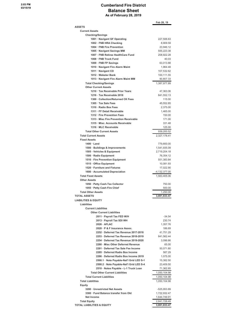#### **Cumberland Fire District Balance Sheet As of February 28, 2019**

|                                                                                | Feb 28, 19               |
|--------------------------------------------------------------------------------|--------------------------|
| <b>ASSETS</b>                                                                  |                          |
| <b>Current Assets</b>                                                          |                          |
| <b>Checking/Savings</b>                                                        |                          |
| 1001 · Navigant GF Operating                                                   | 227,506.63               |
| 1002 · FNB HRA Checking<br>1004 · FNB Fire Prevention                          | 8,909.59                 |
|                                                                                | 23,946.12                |
| 1005 · Navigant Savings MM<br>1007 · FNB Retiree HealthCare Fund               | 555,223.38<br>208,922.28 |
| 1008 · FNB Truck Fund                                                          | 40.03                    |
| 1009 · FNB FP Savings                                                          | 63,013.88                |
| 1010 · Navigant Fire Alarm Maint                                               | 1,964.48                 |
| 1011 · Navigant CD                                                             | 107,532.62               |
| 1012 · Webster Bank                                                            | 100,111.55               |
| 1013 · Navigant Fire Alarm Maint MM                                            | 90,807.33                |
| <b>Total Checking/Savings</b>                                                  | 1,387,977.89             |
| <b>Other Current Assets</b>                                                    |                          |
| 1210 · Tax Receivable Prior Years                                              | 47,363.06                |
| 1216 · Tax Receivable 2018                                                     | 841,552.13               |
| 1300 · Collection/Returned CK Fees                                             | 115.00                   |
| 1305 · Tax Sale Fees                                                           | 45,552.85                |
| 1310 · Radio Box Fees                                                          | 2,375.00                 |
| 1311 · FF Detail Receivable                                                    | 1,465.00                 |
| 1312 · Fire Prevention Fees                                                    | 150.00                   |
| 1313 · Misc Fire Prevention Receivable                                         | 171.00                   |
| 1315 · Misc. Accounts Receivable                                               | 331.48                   |
| 1316 · MLC Receivable                                                          | 125.00                   |
| <b>Total Other Current Assets</b>                                              | 939,200.52               |
| <b>Total Current Assets</b>                                                    | 2,327,178.41             |
| <b>Fixed Assets</b>                                                            |                          |
| $1400 \cdot$ Land                                                              | 779,800.00               |
| 1500 · Buildings & Improvements                                                | 1,541,935.09             |
| 1505 · Vehicles & Equipment                                                    | 2,719,204.18             |
| 1506 · Radio Equipment<br>1510 · Fire Prevention Equipment                     | 76,354.12<br>551,383.84  |
| 1515 · Office Equipment                                                        | 10,081.93                |
| 1520 · Furniture and Fixtures                                                  | 17,022.90                |
| 1600 · Accumulated Depreciation                                                | $-4, 132, 377.00$        |
| <b>Total Fixed Assets</b>                                                      | 1,563,405.06             |
| <b>Other Assets</b>                                                            |                          |
| 1050 · Petty Cash-Tax Collector                                                | 750.00                   |
| 1055 · Petty Cash Fire Chief                                                   | 500.00                   |
| <b>Total Other Assets</b>                                                      | 1,250.00                 |
| <b>TOTAL ASSETS</b>                                                            | 3,891,833.47             |
| <b>LIABILITIES &amp; EQUITY</b>                                                |                          |
| Liabilities                                                                    |                          |
| <b>Current Liabilities</b>                                                     |                          |
| <b>Other Current Liabilities</b>                                               |                          |
| 2011 · Payroll Tax FED W/H                                                     | $-34.54$                 |
| 2013 · Payroll Tax SDI WH                                                      | 230.74                   |
| $2026 \cdot AFLAC$<br>2028 · P & F Insurance Assoc.                            | 1,357.76                 |
|                                                                                | 186.69                   |
| 2252 · Deferred Tax Revenue 2017-2018<br>2253 · Deferred Tax Revenue 2018-2019 | 41,751.29                |
| 2254 · Deferred Tax Revenue 2019-2020                                          | 841,562.44               |
| 2280 · Misc Other Deferred Revenue                                             | 3,096.66<br>65.00        |
| 2281 · Deferred Tax Sale Fee Income                                            | 50,071.80                |
| 2285 · Deferred Radio Box Income                                               | 587.29                   |
| 2286 · Deferred Radio Box Income 2019                                          | 1,075.00                 |
| 2500.1 · Note Payable-Nat'l Grid LED S-1                                       | 15,382.50                |
| 2500.2 · Note Payable-Nat'l Grid LED S-4                                       | 23,409.50                |
| 2510 · Notes Payable - L-1 Truck Loan                                          | 71,362.85                |
| <b>Total Other Current Liabilities</b>                                         | 1,050,104.98             |
| <b>Total Current Liabilities</b>                                               | 1,050,104.98             |
| <b>Total Liabilities</b>                                                       | 1,050,104.98             |
| Equity                                                                         |                          |
| 3200 · Unrestricted Net Assets                                                 | -525,953.89              |
| 3300 · Fund Balance transfer from Old                                          | 1,722,932.47             |
| Net Income                                                                     | 1,644,749.91             |
| <b>Total Equity</b>                                                            | 2,841,728.49             |
| <b>TOTAL LIABILITIES &amp; EQUITY</b>                                          | 3,891,833.47             |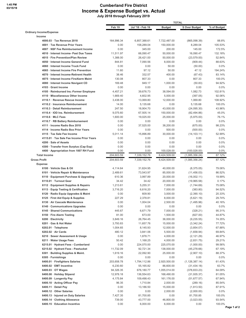#### **Cumberland Fire District Income & Expense Budget vs. Actual July 2018 through February 2019**

|                                                                             |                      |                      |                      | <b>TOTAL</b>            |                   |
|-----------------------------------------------------------------------------|----------------------|----------------------|----------------------|-------------------------|-------------------|
|                                                                             | Feb 19               | Jul '18 - Feb 19     | <b>Budget</b>        | \$ Over Budget          | % of Budget       |
| <b>Ordinary Income/Expense</b>                                              |                      |                      |                      |                         |                   |
| Income                                                                      |                      |                      |                      |                         |                   |
| 4000.03 · Tax Revenue 2018                                                  | 164,996.34           | 6,857,388.61         | 7,722,487.00         | (865,098.39)            | 88.8%             |
| 4001 · Tax Revenue Prior Years                                              | 0.00                 | 158.289.04           | 150,000.00           | 8.289.04                | 105.53%           |
| 4007 · NSF Fee Reimbursement Income                                         | 0.00                 | 345.00               | 200.00               | 145.00                  | 172.5%            |
| 4010 · Interest Income- Past Due Taxes                                      | 11,511.97            | 66,090.47            | 50,000.00            | 16,090.47               | 132.18%           |
| 4015 · Fire Prevention/Plan Review<br>4050 · Interest Income General Fund   | 1,388.00<br>844.81   | 26,421.00            | 50,000.00            | (23, 579.00)            | 52.84%<br>88.63%  |
| 4060 · Interest Income Truck Fund                                           | 0.00                 | 7,090.56<br>0.00     | 8,000.00<br>50.00    | (909.44)<br>(50.00)     | 0.0%              |
| 4065 · Interest Income Fire Prevention                                      | 11.60                | 97.12                | 50.00                | 47.12                   | 194.24%           |
| 4070 · Interest Income-Retiremt Health                                      | 38.46                | 332.57               | 400.00               | (67.43)                 | 83.14%            |
| 4075 · Interest Income FireAlarm Maint                                      | 130.08               | 807.33               | 0.00                 | 807.33                  | 100.0%            |
| 4080 · Interest Income Navigant CD                                          | 169.48               | 949.17               | 1,000.00             | (50.83)                 | 94.92%            |
| 4103 Grant Income                                                           | 0.00                 | 0.00                 | 0.00                 | 0.00                    | 0.0%              |
| 4105 · Reimbursed Ins.-Former Employee                                      | 4,457.21             | 39,676.73            | 38,594.00            | 1,082.73                | 102.81%           |
| 4110 · Miscellaneous Other Income                                           | 1,669.40             | 4,602.95             | 5,000.00             | (397.05)                | 92.06%            |
| 4110.1 · Revenue Rescue Income                                              | 3,438.00             | 13,069.80            | 12,000.00            | 1,069.80                | 108.92%           |
| 4110.2 · Insurance Reimbursement                                            | 14.00                | 5.135.68             | 0.00                 | 5.135.68                | 100.0%            |
| 4110.3 · Detail Reimbursement                                               | 247.50               | 18,904.70            | 43,000.00            | (24,095.30)             | 43.96%            |
| 4110.4 · IOD Ins. Reimbursement                                             | 9,075.60             | 67,505.14            | 150,000.00           | (82, 494.86)            | 45.0%             |
| 4110.6 · MLC Fees                                                           | 1,600.00             | 19.025.00            | 25,000.00            | (5,975.00)              | 76.1%             |
| 4110.7 · RB Battery Reimbursement                                           | 0.00                 | 0.00                 | 0.00                 | 0.00                    | 0.0%              |
| 4111 · Income Radio Box 2018                                                | 0.00                 | 37,525.00            | 38,200.00            | (675.00)                | 98.23%            |
| 4114 · Income Radio Box Prior Years                                         | 0.00                 | 0.00                 | 500.00               | (500.00)                | 0.0%              |
| 4115 · Tax Sale Fee Income                                                  | 5,011.14             | 15,896.89            | 30,000.00            | (14, 103.11)            | 52.99%            |
| 4115.01 Tax Sale Fee Income Prior Years                                     | 0.00                 | 0.00                 | 0.00                 | 0.00                    | 0.0%              |
| 4200 · Sale of Assets                                                       | 0.00                 | 0.00                 | 0.00                 | 0.00                    | 0.0%              |
| 4300 · Transfer from Surplus (Cap Exp)                                      | 0.00                 | 0.00                 | 0.00                 | 0.00                    | 0.0%              |
| 4400 · Appropriation from 1007 RH Fund                                      | 0.00                 | 0.00                 | 100,028.00           | (100, 028.00)           | 0.0%              |
| <b>Total Income</b>                                                         | 204,603.59           | 7,339,152.76         | 8,424,509.00         | (1,085,356.24)          | 87.12%            |
| <b>Gross Profit</b>                                                         | 204,603.59           | 7,339,152.76         | 8,424,509.00         | (1,085,356.24)          | 87.12%            |
| <b>Expense</b>                                                              |                      |                      |                      |                         |                   |
| 6100 · Vehicle Gas & Oil                                                    | 4,114.64             | 31,624.95            | 40,000.00            | (8,375.05)              | 79.06%            |
| 6101 · Vehicle Repair & Maintenance                                         | 2,489.61             | 73,543.97            | 85,000.00            | (11, 456.03)            | 86.52%            |
| 6110 · Equipment Purchase & Upgrading                                       | 610.36               | 3,997.89             | 20,000.00            | (16,002.11)             | 19.99%            |
| 6110.01 · Turnout Gear                                                      | 34.42                | 34.42                | 20,000.00            | (19,965.58)             | 0.17%             |
| 6112 · Equipment Supplies & Repairs<br>6113 · Equip Testing & Certification | 1,213.61<br>3,716.20 | 5,255.31<br>6,616.20 | 7,000.00<br>7,000.00 | (1,744.69)<br>(383.80)  | 75.08%<br>94.52%  |
| 6120 · Radio Equip Upgrades & Maint                                         | 0.00                 | 609.90               | 3,000.00             | (2,390.10)              | 20.33%            |
| 6125 · First Aid Equip & Supplies                                           | 227.29               | 2,378.81             | 8,000.00             | (5,621.19)              | 29.74%            |
| 6130 · Air Cascade Maintenance                                              | 0.00                 | 1,004.04             | 2,500.00             | (1,495.96)              | 40.16%            |
| 6140 Communications Upgrades                                                | 0.00                 | 0.00                 | 0.00                 | 0.00                    | $0.0\%$           |
| 6145 · Shared Communications                                                | 445.67               | 6,671.79             | 7,000.00             | (328.21)                | 95.31%            |
| 6150 · Fire Alarm Testing                                                   | 81.00                | 673.00               | 1,500.00             | (827.00)                | 44.87%            |
| 6200 · Electricity                                                          | 3,849.16             | 26,764.45            | 36,000.00            | (9,235.55)              | 74.35%            |
| 6201 · Gas & Hot Water                                                      | 3,793.83             | 11,657.76            | 15,000.00            | (3,342.24)              | 77.72%            |
| $6202.01 \cdot$ Telephone                                                   | 1,004.65             | 8,145.93             | 12,000.00            | (3,854.07)              | 67.88%            |
| $6202.02 \cdot Air Cards$                                                   | 480.12               | 3,841.06             | 5,500.00             | (1,658.94)              | 69.84%            |
| 6210 · Sewer Assessment & Usage                                             | 0.00                 | 1,878.71             | 4,000.00             | (2, 121.29)             | 46.97%            |
| 6211 · Water Usage Fees                                                     | 50.42                | 1,168.25             | 4,000.00             | (2,831.75)              | 29.21%            |
| 6215.01 · Hydrant Fees - Cumberland                                         | 0.00                 | 224,070.00           | 225,070.00           | (1,000.00)              | 99.56%            |
| 6215.02 · Hydrant Fees - Pawtucket                                          | 11,732.09            | 92,721.34            | 138,000.00           | (45, 278.66)            | 67.19%            |
| 6301 · Building Supplies & Maint.                                           | 1,619.16             | 22,092.90            | 25,000.00            | (2,907.10)              | 88.37%            |
| $6305 \cdot$ Furnishings                                                    | 0.00                 | 0.00                 | 0.00                 | 0.00                    | $0.0\%$           |
| 6400.01 · Firefighters Salaries                                             | 203,658.78           | 1,794,112.86         | 2,920,500.00         | (1, 126, 387.14)        | 61.43%            |
| 6400.02 · EMT Incentive                                                     | 6,230.60             | 55,165.82            | 86,600.00            | (31, 434.18)            | 63.7%             |
| $6400.03 \cdot$ OT Wages                                                    | 94,326.35            | 676,180.77           | 1,055,014.00         | (378, 833.23)           | 64.09%            |
| 6400.08 · Holiday Stipend                                                   | 12,978.18            | 136,554.63           | 168,490.00           | (31, 935.37)            | 81.05%            |
| 6400.09 · Longevity Pay                                                     | 4,175.84             | 109,498.43           | 161,176.00           | (51, 677.57)            | 67.94%            |
| 6400.10 · Acting Officer Pay                                                | 96.35                | 1,710.84             | 2,000.00             | (289.16)                | 85.54%            |
| $6400.11 \cdot$ Detail Pay                                                  | 0.00                 | 13,186.50            | 15,000.00            | (1,813.50)              | 87.91%            |
| 6400.12 Other Salaries<br>6400.13 · Injured on Duty Salaries                | 0.00<br>7,427.35     | 0.00<br>81,700.85    | 2,000.00<br>0.00     | (2,000.00)<br>81,700.85 | $0.0\%$<br>100.0% |
| 6400.14 · Clothing Allowance                                                | 739.00               | 43,777.00            | 46,800.00            | (3,023.00)              | 93.54%            |
| 6400.15 · Education Incentive                                               | 0.00                 | 6,000.00             | 6,000.00             | 0.00                    | 100.0%            |
|                                                                             |                      |                      |                      |                         |                   |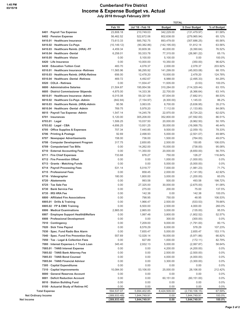#### **Cumberland Fire District Income & Expense Budget vs. Actual July 2018 through February 2019**

|                                           |                 |                        | <b>TOTAL</b>           |                |                  |
|-------------------------------------------|-----------------|------------------------|------------------------|----------------|------------------|
|                                           | Feb 19          | Jul '18 - Feb 19       | <b>Budget</b>          | \$ Over Budget | % of Budget      |
| 6401 · Payroll Tax Expense                | 23,808.18       | 210,749.03             | 342,229.00             | (131, 479.97)  | 61.58%           |
| 6402 · Pension Expense                    | 56,462.52       | 522,672.06             | 802,638.00             | (279, 965.94)  | 65.12%           |
| 6410.01 · Healthcare Insurance            | 73,613.33       | 585,792.75             | 893,479.00             | (307, 686.25)  | 65.56%           |
| 6410.02 · Healthcare Co-Pays              | (10,149.12)     | (90, 382.86)           | (142, 195.00)          | 51,812.14      | 63.56%           |
| 6410.03 · Healthcare Reimb. (HRA) -FF     | 4,459.34        | 30,609.36              | 40,000.00              | (9,390.64)     | 76.52%           |
| 6410.04 · Healthcare -Dental              | 6,258.01        | 50,333.78              | 77,315.00              | (26, 981.22)   | 65.1%            |
| 6410.05 · Healthcare -Vision              | 0.00            | 5,100.00               | 5,100.00               | 0.00           | 100.0%           |
| 6420 · Life Insurance                     | 0.00            | 10,000.00              | 10,350.00              | (350.00)       | 96.62%           |
| 6430 · Education Tuition Cost             | 483.70          | 4,078.37               | 2,000.00               | 2,078.37       | 203.92%          |
| 6510.01 · Healthcare Insurance -Retirees  | 11,565.96       | 96,295.92              | 141,299.00             | (45,003.08)    | 68.15%           |
| 6510.03 · Healthcare Reimb. (HRA)-Retiree | 656.00          | 12,478.20              | 10,000.00              | 2,478.20       | 124.78%          |
| 6510.04 · Healthcare -Dental -Retirees    | 469.72          | 4,492.67               | 6,988.00               | (2,495.33)     | 64.29%           |
| 6520 · COLA - Retirees                    | 0.00            | 11,934.47              | 11,935.00              | (0.53)         | 100.0%           |
| 6600 · Administrative Salaries            | 21,504.87       | 195,954.56             | 310,284.00             | (114, 329.44)  | 63.15%           |
| 6605 · District Commissioner Stipends     | 4,875.00        | 14,333.36              | 22,700.00              | (8,366.64)     | 63.14%           |
| 6610.01 · Healthcare Insurance -Admin     | 6,015.08        | 59,321.09              | 67,004.00              | (7,682.91)     | 88.53%           |
| 6610.02 · Healthcare Co-Pays -Admin       | (842.84)        | (7, 154.97)            | (8,300.00)             | 1,145.03       | 86.2%            |
| 6610.03 · Healthcare Reimb. (HRA)-Admin   | 90.56           | 3,063.05               | 8,700.00               | (5,636.95)     | 35.21%           |
| 6610.04 · Healthcare -Dental -Admin       | 769.75          | 5,978.20               | 7,112.00               | (1, 133.80)    | 84.06%           |
| 6615 · Payroll Tax Expense -Admin         | 1,547.14        | 14,245.78              | 22,970.00              | (8,724.22)     | 62.02%           |
| $6701 \cdot$ Insurances                   | 5,120.00        | 305,208.00             | 352,800.00             |                | 86.51%           |
| 6703.01 · Legal                           | 1,506.25        |                        |                        | (47, 592.00)   | 50.19%           |
| $6703.02 \cdot$ Legal - CBA               |                 | 10,037.50<br>13,931.25 | 20,000.00<br>30,000.00 | (9,962.50)     |                  |
|                                           | 4,656.25        |                        | 9,500.00               | (16,068.75)    | 46.44%           |
| 6705 · Office Supplies & Expenses         | 707.34<br>92.69 | 7,440.85               |                        | (2,059.15)     | 78.33%<br>49.98% |
| 6706 · Printing & Postage                 |                 | 2,498.93               | 5,000.00               | (2,501.07)     |                  |
| 6707 · Newspaper Advertisements           | 158.00          | 736.00                 | 1,500.00               | (764.00)       | 49.07%           |
| 6708 Computer Development Program         | 317.75          | 2,650.85               | 2,500.00               | 150.85         | 106.03%          |
| 6709 Computerized Tax Bills               | 0.00            | 14,262.00              | 15,000.00              | (738.00)       | 95.08%           |
| 6710 · External Accounting Fees           | 0.00            | 11,350.00              | 20,000.00              | (8,650.00)     | 56.75%           |
| 6711 · Fire Chief Expenses                | 733.68          | 876.27                 | 750.00                 | 126.27         | 116.84%          |
| 6712 · Fire Prevention Offset             | 0.00            | 0.00                   | 1,000.00               | (1,000.00)     | $0.0\%$          |
| 6713 Grants - Matching Funds              | 0.00            | 0.00                   | 5,000.00               | (5,000.00)     | $0.0\%$          |
| 6714 · Payroll Processing Fees            | 531.14          | 5,018.77               | 7,000.00               | (1,981.23)     | 71.7%            |
| 6715 · Professional Fees                  | 0.00            | 858.45                 | 2,000.00               | (1, 141.55)    | 42.92%           |
| $6716 \cdot$ Videographer                 | 180.00          | 1,800.00               | 3,000.00               | (1,200.00)     | 60.0%            |
| 6720 · Abatements                         | 0.00            | 993.58                 | 500.00                 | 493.58         | 198.72%          |
| 6725 · Tax Sale Fee                       | 0.00            | 27,325.00              | 30,000.00              | (2,675.00)     | 91.08%           |
| 6730 · Bank Service Fee                   | 0.00            | 275.00                 | 200.00                 | 75.00          | 137.5%           |
| 6735 · IRS HRA Fee                        | 0.00            | 142.38                 | 0.00                   | 142.38         | 100.0%           |
| 6800 · Affiliated Fire Associations       | 0.00            | 798.95                 | 750.00                 | 48.95          | 106.53%          |
| 6905.01 · Drills & Training               | 0.00            | 1,966.47               | 2,500.00               | (533.53)       | 78.66%           |
| 6905.02 · FP & EMS Training               | 0.00            | 6,500.00               | 2,500.00               | 4,000.00       | 260.0%           |
| 6906 · Medical Examinations               | 2,865.00        | 2,865.00               | 3,000.00               | (135.00)       | 95.5%            |
| 6907 · Employee Support Health&Welfare    | 0.00            | 1,997.48               | 3,800.00               | (1,802.52)     | 52.57%           |
| 6908 · Professional Development           | 0.00            | 0.00                   | 300.00                 | (300.00)       | $0.0\%$          |
| 7010 Contingency                          | 0.00            | 7,209.00               | 9,000.00               | (1,791.00)     | 80.1%            |
| 7020 · Sick Time Payout                   | 0.00            | 8,578.29               | 8,000.00               | 578.29         | 107.23%          |
| 7030 · Spec. Fund Radio Box Alarm         | 0.00            | 7,655.47               | 5,000.00               | 2,655.47       | 153.11%          |
| 7040 · Spec. Fund Fire Prevention Exp     | 557.69          | 12,028.14              | 18,000.00              | (5,971.86)     | 66.82%           |
| 7050 · Tax - Legal & Collection Fees      | 0.00            | 827.89                 | 1,000.00               | (172.11)       | 82.79%           |
| 7080 · Interest Expense-L-1 Truck Loan    | 345.40          | 2,932.13               | 5,000.00               | (2,067.87)     | 58.64%           |
| 7085.01 · TANS Interest Expense           | 0.00            | 0.00                   | 4,200.00               | (4,200.00)     | $0.0\%$          |
| 7085.02 · TANS Bank Attorney Fee          | 0.00            | 0.00                   | 2,500.00               | (2,500.00)     | $0.0\%$          |
| 7085.03 · TANS Bond Counsel               | 0.00            | 0.00                   | 4,000.00               | (4,000.00)     | $0.0\%$          |
| 7085.04 · TANS Financial Advisor          | 0.00            | 0.00                   | 3,300.00               | (3,300.00)     | $0.0\%$          |
| 7305 · Capital Expenditures               | 0.00            | 0.00                   | 0.00                   | 0.00           | $0.0\%$          |
| 7310 · Capital Improvements               | 10,084.00       | 53,106.00              | 25,000.00              | 28,106.00      | 212.42%          |
| 8000 · General Reserves Account           | 0.00            | 0.00                   | 0.00                   | 0.00           | $0.0\%$          |
| 8001 · Deficit Reduction Account          | 0.00            | 0.00                   | 60,151.00              | (60, 151.00)   | $0.0\%$          |
| 8010 · Station Building Fund              | 0.00            | 0.00                   | 0.00                   | 0.00           | $0.0\%$          |
| 8100 · Actuarial Study of Retiree HC      | 0.00            | 0.00                   | 0.00                   | 0.00           | $0.0\%$          |
| <b>Total Expense</b>                      | 594,537.07      | 5,694,402.85           | 8,424,509.00           | (2,730,106.15) | 67.59%           |
| <b>Net Ordinary Income</b>                | (389,933.48)    | 1,644,749.91           | 0.00                   | 1,644,749.91   | 100.0%           |
| Net Income                                | (389,933.48)    | 1,644,749.91           | 0.00                   | 1,644,749.91   | 100.0%           |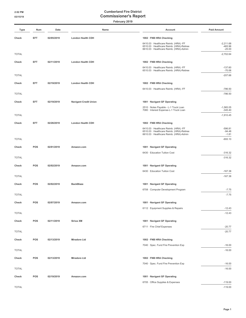| Type         | Num        | Date       | Name                         | Account                                                                                                                       | <b>Paid Amount</b>       |
|--------------|------------|------------|------------------------------|-------------------------------------------------------------------------------------------------------------------------------|--------------------------|
| Check        | EFT        | 02/05/2019 | <b>London Health CDH</b>     | 1002 · FNB HRA Checking                                                                                                       |                          |
|              |            |            |                              | 6410.03 · Healthcare Reimb. (HRA) -FF<br>6510.03 · Healthcare Reimb. (HRA)-Retiree                                            | $-2,211.68$<br>$-465.96$ |
| <b>TOTAL</b> |            |            |                              | 6610.03 · Healthcare Reimb. (HRA)-Admin                                                                                       | $-25.00$<br>$-2,702.64$  |
|              |            |            |                              |                                                                                                                               |                          |
| Check        | EFT        | 02/11/2019 | <b>London Health CDH</b>     | 1002 · FNB HRA Checking                                                                                                       |                          |
|              |            |            |                              | 6410.03 · Healthcare Reimb. (HRA) -FF<br>6510.03 · Healthcare Reimb. (HRA)-Retiree                                            | $-137.60$<br>$-70.06$    |
| <b>TOTAL</b> |            |            |                              |                                                                                                                               | $-207.66$                |
| Check        | EFT.       | 02/19/2019 | <b>London Health CDH</b>     | 1002 · FNB HRA Checking                                                                                                       |                          |
|              |            |            |                              | 6410.03 · Healthcare Reimb. (HRA) -FF                                                                                         | $-786.50$                |
| <b>TOTAL</b> |            |            |                              |                                                                                                                               | $-786.50$                |
| Check        | <b>EFT</b> | 02/19/2019 | <b>Navigant Credit Union</b> | 1001 · Navigant GF Operating                                                                                                  |                          |
|              |            |            |                              | 2510 · Notes Payable - L-1 Truck Loan                                                                                         | $-1,565.05$              |
| <b>TOTAL</b> |            |            |                              | 7080 · Interest Expense-L-1 Truck Loan                                                                                        | $-345.40$<br>$-1,910.45$ |
|              |            |            |                              |                                                                                                                               |                          |
| Check        | <b>EFT</b> | 02/26/2019 | <b>London Health CDH</b>     | 1002 · FNB HRA Checking                                                                                                       |                          |
|              |            |            |                              | 6410.03 · Healthcare Reimb. (HRA) -FF<br>6510.03 · Healthcare Reimb. (HRA)-Retiree<br>6610.03 · Healthcare Reimb. (HRA)-Admin | $-596.81$<br>$-94.48$    |
| <b>TOTAL</b> |            |            |                              |                                                                                                                               | $-1.81$<br>$-693.10$     |
|              |            |            |                              |                                                                                                                               |                          |
| Check        | <b>POS</b> | 02/01/2019 | Amazon.com                   | 1001 · Navigant GF Operating                                                                                                  |                          |
| <b>TOTAL</b> |            |            |                              | 6430 · Education Tuition Cost                                                                                                 | $-316.32$<br>$-316.32$   |
|              |            |            |                              |                                                                                                                               |                          |
| Check        | POS        | 02/02/2019 | Amazon.com                   | 1001 · Navigant GF Operating                                                                                                  |                          |
| <b>TOTAL</b> |            |            |                              | 6430 · Education Tuition Cost                                                                                                 | $-167.38$<br>$-167.38$   |
|              |            |            |                              |                                                                                                                               |                          |
| Check        | POS        | 02/02/2019 | <b>BackBlaze</b>             | 1001 · Navigant GF Operating                                                                                                  |                          |
| <b>TOTAL</b> |            |            |                              | 6708 Computer Development Program                                                                                             | $-7.75$<br>$-7.75$       |
|              |            |            |                              |                                                                                                                               |                          |
| Check        | POS        | 02/07/2019 | Amazon.com                   | 1001 · Navigant GF Operating                                                                                                  |                          |
| <b>TOTAL</b> |            |            |                              | 6112 · Equipment Supplies & Repairs                                                                                           | $-12.43$<br>$-12.43$     |
|              |            |            |                              |                                                                                                                               |                          |
| Check        | POS        | 02/11/2019 | <b>Sirius XM</b>             | 1001 · Navigant GF Operating                                                                                                  |                          |
|              |            |            |                              | 6711 · Fire Chief Expenses                                                                                                    | $-20.77$                 |
| <b>TOTAL</b> |            |            |                              |                                                                                                                               | $-20.77$                 |
| Check        | POS        | 02/13/2019 | <b>Miradore Ltd</b>          | 1002 · FNB HRA Checking                                                                                                       |                          |
|              |            |            |                              | 7040 · Spec. Fund Fire Prevention Exp                                                                                         | $-16.00$                 |
| <b>TOTAL</b> |            |            |                              |                                                                                                                               | $-16.00$                 |
| Check        | POS        | 02/13/2019 | <b>Miradore Ltd</b>          | 1002 · FNB HRA Checking                                                                                                       |                          |
|              |            |            |                              | 7040 · Spec. Fund Fire Prevention Exp                                                                                         | $-16.00$                 |
| <b>TOTAL</b> |            |            |                              |                                                                                                                               | $-16.00$                 |
| Check        | POS        | 02/19/2019 | Amazon.com                   | 1001 · Navigant GF Operating                                                                                                  |                          |
|              |            |            |                              | 6705 · Office Supplies & Expenses                                                                                             | $-119.00$                |
| <b>TOTAL</b> |            |            |                              |                                                                                                                               | $-119.00$                |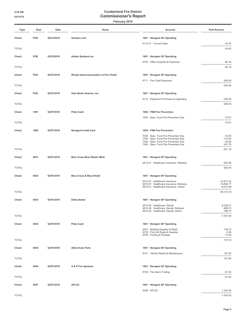| Type         | Num  | Date       | Name                                           | Account                                                                        | <b>Paid Amount</b>           |
|--------------|------|------------|------------------------------------------------|--------------------------------------------------------------------------------|------------------------------|
| Check        | POS  | 02/21/2019 | Amazon.com                                     | 1001 · Navigant GF Operating                                                   |                              |
|              |      |            |                                                | 6110.01 · Turnout Gear                                                         | $-34.42$                     |
| <b>TOTAL</b> |      |            |                                                |                                                                                | $-34.42$                     |
| Check        | POS  | 02/23/2019 | Adobe Systems Inc.                             | 1001 · Navigant GF Operating                                                   |                              |
|              |      |            |                                                | 6705 Office Supplies & Expenses                                                | $-64.16$                     |
| <b>TOTAL</b> |      |            |                                                |                                                                                | $-64.16$                     |
| Check        | POS  | 02/27/2019 | <b>Rhode Island Association of Fire Chiefs</b> | 1001 · Navigant GF Operating                                                   |                              |
|              |      |            |                                                | 6711 · Fire Chief Expenses                                                     | $-500.00$                    |
| <b>TOTAL</b> |      |            |                                                |                                                                                | $-500.00$                    |
| Check        | POS  | 02/27/2019 | Haix North America, Inc.                       | 1001 · Navigant GF Operating                                                   |                              |
|              |      |            |                                                | 6110 · Equipment Purchase & Upgrading                                          | $-449.00$                    |
| <b>TOTAL</b> |      |            |                                                |                                                                                | $-449.00$                    |
| Check        | 1091 | 02/07/2019 | <b>Petty Cash</b>                              | 1004 · FNB Fire Prevention                                                     |                              |
|              |      |            |                                                | 7040 · Spec. Fund Fire Prevention Exp                                          | $-73.91$                     |
| <b>TOTAL</b> |      |            |                                                |                                                                                | $-73.91$                     |
| Check        | 1092 | 02/07/2019 | <b>Navigant Credit Card</b>                    | 1004 · FNB Fire Prevention                                                     |                              |
|              |      |            |                                                | 7040 · Spec. Fund Fire Prevention Exp                                          | $-70.00$                     |
|              |      |            |                                                | 7040 · Spec. Fund Fire Prevention Exp<br>7040 · Spec. Fund Fire Prevention Exp | $-110.00$<br>$-30.00$        |
|              |      |            |                                                | 7040 · Spec. Fund Fire Prevention Exp                                          | $-241.78$                    |
| <b>TOTAL</b> |      |            |                                                |                                                                                | $-451.78$                    |
| Check        | 4931 | 02/01/2019 | Blue Cross Blue Shield -MCA                    | 1001 · Navigant GF Operating                                                   |                              |
|              |      |            |                                                | 6510.01 · Healthcare Insurance -Retirees                                       | $-924.00$                    |
| <b>TOTAL</b> |      |            |                                                |                                                                                | $-924.00$                    |
| Check        | 4932 | 02/01/2019 | <b>Blue Cross &amp; Blue Shield</b>            | 1001 · Navigant GF Operating                                                   |                              |
|              |      |            |                                                | 6410.01 · Healthcare Insurance<br>6510.01 · Healthcare Insurance -Retirees     | $-73,613.33$<br>$-10,584.77$ |
|              |      |            |                                                | 6610.01 · Healthcare Insurance -Admin                                          | $-6,015.08$                  |
| <b>TOTAL</b> |      |            |                                                |                                                                                | $-90,213.18$                 |
| Check        | 4933 | 02/01/2019 | <b>Delta Dental</b>                            | 1001 · Navigant GF Operating                                                   |                              |
|              |      |            |                                                | 6410.04 · Healthcare -Dental<br>6510.04 · Healthcare -Dental -Retirees         | $-6,258.01$<br>$-469.72$     |
| <b>TOTAL</b> |      |            |                                                | 6610.04 · Healthcare -Dental -Admin                                            | $-769.75$                    |
|              |      |            |                                                |                                                                                | $-7,497.48$                  |
| Check        | 4934 | 02/07/2019 | <b>Petty Cash</b>                              | 1001 · Navigant GF Operating                                                   |                              |
|              |      |            |                                                | 6301 · Building Supplies & Maint.<br>6125 · First Aid Equip & Supplies         | $-136.75$<br>$-2.99$         |
| <b>TOTAL</b> |      |            |                                                | 6706 · Printing & Postage                                                      | $-13.40$<br>$-153.14$        |
|              |      |            |                                                |                                                                                |                              |
| Check        | 4935 | 02/07/2019 | <b>Allied Auto Parts</b>                       | 1001 · Navigant GF Operating                                                   |                              |
| <b>TOTAL</b> |      |            |                                                | 6101 · Vehicle Repair & Maintenance                                            | $-191.82$<br>$-191.82$       |
|              |      |            |                                                |                                                                                |                              |
| Check        | 4936 | 02/07/2019 | A & P Fire Systems                             | 1001 · Navigant GF Operating                                                   |                              |
| <b>TOTAL</b> |      |            |                                                | 6150 · Fire Alarm Testing                                                      | $-81.00$<br>$-81.00$         |
|              |      |            |                                                |                                                                                |                              |
| Check        | 4937 | 02/07/2019 | <b>AFLAC</b>                                   | 1001 · Navigant GF Operating                                                   |                              |
|              |      |            |                                                | $2026 \cdot AFLAC$                                                             | $-1,324.02$                  |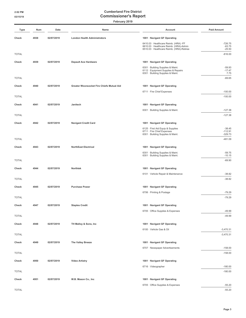| Type         | Num  | Date       | Name                                      | Account                                                                                                       | <b>Paid Amount</b>           |
|--------------|------|------------|-------------------------------------------|---------------------------------------------------------------------------------------------------------------|------------------------------|
| Check        | 4938 | 02/07/2019 | <b>London Health Administrators</b>       | 1001 · Navigant GF Operating                                                                                  |                              |
|              |      |            |                                           | 6410.03 · Healthcare Reimb. (HRA) -FF<br>6610.03 · Healthcare Reimb. (HRA)-Admin                              | $-726.75$<br>$-63.75$        |
| <b>TOTAL</b> |      |            |                                           | 6510.03 · Healthcare Reimb. (HRA)-Retiree                                                                     | $-25.50$<br>$-816.00$        |
| Check        | 4939 | 02/07/2019 | <b>Depault Ace Hardware</b>               | 1001 · Navigant GF Operating                                                                                  |                              |
|              |      |            |                                           | 6301 · Building Supplies & Maint.<br>6112 · Equipment Supplies & Repairs<br>6301 · Building Supplies & Maint. | $-59.93$<br>$-17.47$<br>7.75 |
| <b>TOTAL</b> |      |            |                                           |                                                                                                               | $-69.65$                     |
| Check        | 4940 | 02/07/2019 | Greater Woonsocket Fire Chiefs Mutual Aid | 1001 · Navigant GF Operating                                                                                  |                              |
|              |      |            |                                           | 6711 · Fire Chief Expenses                                                                                    | $-100.00$                    |
| <b>TOTAL</b> |      |            |                                           |                                                                                                               | $-100.00$                    |
| Check        | 4941 | 02/07/2019 | Janitech                                  | 1001 · Navigant GF Operating                                                                                  |                              |
|              |      |            |                                           | 6301 · Building Supplies & Maint.                                                                             | $-127.38$                    |
| <b>TOTAL</b> |      |            |                                           |                                                                                                               | $-127.38$                    |
| Check        | 4942 | 02/07/2019 | <b>Navigant Credit Card</b>               | 1001 · Navigant GF Operating                                                                                  |                              |
|              |      |            |                                           | 6125 · First Aid Equip & Supplies<br>6711 · Fire Chief Expenses                                               | $-38.45$<br>$-112.91$        |
|              |      |            |                                           | 6301 · Building Supplies & Maint.                                                                             | $-329.73$                    |
| <b>TOTAL</b> |      |            |                                           |                                                                                                               | $-481.09$                    |
| Check        | 4943 | 02/07/2019 | <b>NorthEast Electrical</b>               | 1001 · Navigant GF Operating                                                                                  |                              |
|              |      |            |                                           | 6301 · Building Supplies & Maint.<br>6301 · Building Supplies & Maint.                                        | $-59.75$<br>$-10.15$         |
| <b>TOTAL</b> |      |            |                                           |                                                                                                               | $-69.90$                     |
| Check        | 4944 | 02/07/2019 | Northtek                                  | 1001 · Navigant GF Operating                                                                                  |                              |
|              |      |            |                                           | 6101 · Vehicle Repair & Maintenance                                                                           | $-38.82$                     |
| <b>TOTAL</b> |      |            |                                           |                                                                                                               | $-38.82$                     |
| Check        | 4945 | 02/07/2019 | <b>Purchase Power</b>                     | 1001 · Navigant GF Operating                                                                                  |                              |
|              |      |            |                                           | 6706 · Printing & Postage                                                                                     | $-79.29$                     |
| <b>TOTAL</b> |      |            |                                           |                                                                                                               | $-79.29$                     |
| Check        | 4947 | 02/07/2019 | <b>Staples Credit</b>                     | 1001 · Navigant GF Operating                                                                                  |                              |
|              |      |            |                                           | 6705 · Office Supplies & Expenses                                                                             | $-49.99$                     |
| <b>TOTAL</b> |      |            |                                           |                                                                                                               | $-49.99$                     |
| Check        | 4948 | 02/07/2019 | TH Malloy & Sons, Inc                     | 1001 · Navigant GF Operating                                                                                  |                              |
| <b>TOTAL</b> |      |            |                                           | 6100 · Vehicle Gas & Oil                                                                                      | $-3,470.31$<br>$-3,470.31$   |
|              |      |            |                                           |                                                                                                               |                              |
| Check        | 4949 | 02/07/2019 | The Valley Breeze                         | 1001 · Navigant GF Operating                                                                                  |                              |
| <b>TOTAL</b> |      |            |                                           | 6707 · Newspaper Advertisements                                                                               | $-158.00$<br>$-158.00$       |
|              |      |            |                                           |                                                                                                               |                              |
| Check        | 4950 | 02/07/2019 | <b>Video Artistry</b>                     | 1001 · Navigant GF Operating<br>6716 · Videographer                                                           | $-180.00$                    |
| <b>TOTAL</b> |      |            |                                           |                                                                                                               | $-180.00$                    |
| Check        | 4951 | 02/07/2019 | W.B. Mason Co., Inc                       | 1001 · Navigant GF Operating                                                                                  |                              |
|              |      |            |                                           | 6705 · Office Supplies & Expenses                                                                             | $-55.20$                     |
| <b>TOTAL</b> |      |            |                                           |                                                                                                               | $-55.20$                     |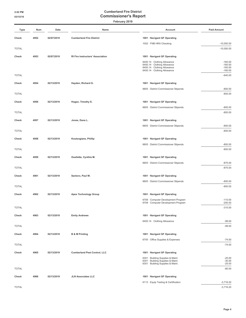| Type         | Num  | Date       | Name                                    | Account                                                                                                                      | <b>Paid Amount</b>                               |
|--------------|------|------------|-----------------------------------------|------------------------------------------------------------------------------------------------------------------------------|--------------------------------------------------|
| Check        | 4952 | 02/07/2019 | <b>Cumberland Fire District</b>         | 1001 · Navigant GF Operating                                                                                                 |                                                  |
|              |      |            |                                         | 1002 · FNB HRA Checking                                                                                                      | $-10,000.00$                                     |
| <b>TOTAL</b> |      |            |                                         |                                                                                                                              | $-10,000.00$                                     |
| Check        | 4953 | 02/07/2019 | <b>RI Fire Instructors' Association</b> | 1001 · Navigant GF Operating                                                                                                 |                                                  |
|              |      |            |                                         | 6400.14 · Clothing Allowance<br>6400.14 · Clothing Allowance<br>6400.14 · Clothing Allowance<br>6400.14 · Clothing Allowance | $-160.00$<br>$-160.00$<br>$-160.00$<br>$-160.00$ |
| <b>TOTAL</b> |      |            |                                         |                                                                                                                              | $-640.00$                                        |
|              |      | 02/13/2019 |                                         |                                                                                                                              |                                                  |
| Check        | 4954 |            | Hayden, Richard G.                      | 1001 · Navigant GF Operating<br>6605 · District Commissioner Stipends                                                        | $-800.00$                                        |
| <b>TOTAL</b> |      |            |                                         |                                                                                                                              | $-800.00$                                        |
| Check        | 4956 | 02/13/2019 |                                         |                                                                                                                              |                                                  |
|              |      |            | Hogan, Timothy E.                       | 1001 · Navigant GF Operating<br>6605 · District Commissioner Stipends                                                        | $-800.00$                                        |
| <b>TOTAL</b> |      |            |                                         |                                                                                                                              | $-800.00$                                        |
| Check        | 4957 | 02/13/2019 | Jones, Dana L.                          | 1001 · Navigant GF Operating                                                                                                 |                                                  |
|              |      |            |                                         | 6605 · District Commissioner Stipends                                                                                        | $-800.00$                                        |
| <b>TOTAL</b> |      |            |                                         |                                                                                                                              | $-800.00$                                        |
| Check        | 4958 | 02/13/2019 | Koutsogiane, Phillip                    | 1001 · Navigant GF Operating                                                                                                 |                                                  |
|              |      |            |                                         | 6605 · District Commissioner Stipends                                                                                        | $-800.00$                                        |
| <b>TOTAL</b> |      |            |                                         |                                                                                                                              | $-800.00$                                        |
| Check        | 4959 | 02/13/2019 | Ouellette, Cynthia M.                   | 1001 · Navigant GF Operating                                                                                                 |                                                  |
|              |      |            |                                         | 6605 · District Commissioner Stipends                                                                                        | $-875.00$                                        |
| <b>TOTAL</b> |      |            |                                         |                                                                                                                              | $-875.00$                                        |
| Check        | 4961 | 02/13/2019 | Santoro, Paul W.                        | 1001 · Navigant GF Operating                                                                                                 |                                                  |
|              |      |            |                                         | 6605 · District Commissioner Stipends                                                                                        | $-800.00$                                        |
| <b>TOTAL</b> |      |            |                                         |                                                                                                                              | $-800.00$                                        |
| Check        | 4962 | 02/13/2019 | <b>Apex Technology Group</b>            | 1001 · Navigant GF Operating                                                                                                 |                                                  |
|              |      |            |                                         | 6708 Computer Development Program                                                                                            | $-110.00$                                        |
|              |      |            |                                         | 6708 Computer Development Program                                                                                            | $-200.00$                                        |
| <b>TOTAL</b> |      |            |                                         |                                                                                                                              | $-310.00$                                        |
| Check        | 4963 | 02/13/2019 | <b>Emily Andrews</b>                    | 1001 · Navigant GF Operating                                                                                                 |                                                  |
|              |      |            |                                         | 6400.14 · Clothing Allowance                                                                                                 | $-99.00$<br>$-99.00$                             |
| <b>TOTAL</b> |      |            |                                         |                                                                                                                              |                                                  |
| Check        | 4964 | 02/13/2019 | <b>B &amp; M Printing</b>               | 1001 · Navigant GF Operating                                                                                                 |                                                  |
| <b>TOTAL</b> |      |            |                                         | 6705 · Office Supplies & Expenses                                                                                            | $-74.00$<br>$-74.00$                             |
|              |      |            |                                         |                                                                                                                              |                                                  |
| Check        | 4965 | 02/13/2019 | <b>Cumberland Pest Control, LLC</b>     | 1001 · Navigant GF Operating                                                                                                 |                                                  |
|              |      |            |                                         | 6301 · Building Supplies & Maint.<br>6301 · Building Supplies & Maint.                                                       | $-25.00$<br>$-30.00$                             |
| <b>TOTAL</b> |      |            |                                         | 6301 · Building Supplies & Maint.                                                                                            | $-25.00$<br>$-80.00$                             |
|              |      |            |                                         |                                                                                                                              |                                                  |
| Check        | 4966 | 02/13/2019 | <b>JLN Associates LLC</b>               | 1001 · Navigant GF Operating<br>6113 · Equip Testing & Certification                                                         | $-3,716.20$                                      |
| <b>TOTAL</b> |      |            |                                         |                                                                                                                              | $-3,716.20$                                      |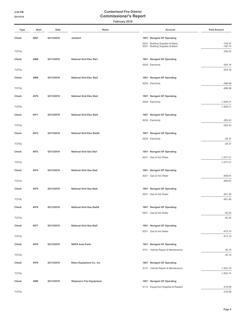| Type         | Num  | Date       | Name                            | Account                             | <b>Paid Amount</b>         |
|--------------|------|------------|---------------------------------|-------------------------------------|----------------------------|
| Check        | 4967 | 02/13/2019 | Janitech                        | 1001 · Navigant GF Operating        |                            |
|              |      |            |                                 | 6301 · Building Supplies & Maint.   | $-148.47$                  |
| <b>TOTAL</b> |      |            |                                 | 6301 · Building Supplies & Maint.   | $-160.75$<br>$-309.22$     |
|              |      |            |                                 |                                     |                            |
| Check        | 4968 | 02/13/2019 | <b>National Grid Elec Sta1</b>  | 1001 · Navigant GF Operating        |                            |
| <b>TOTAL</b> |      |            |                                 | 6200 · Electricity                  | $-924.16$<br>$-924.16$     |
|              |      |            |                                 |                                     |                            |
| Check        | 4969 | 02/13/2019 | <b>National Grid Elec Sta2</b>  | 1001 · Navigant GF Operating        | $-486.99$                  |
| <b>TOTAL</b> |      |            |                                 | 6200 · Electricity                  | $-486.99$                  |
|              |      |            |                                 |                                     |                            |
| Check        | 4970 | 02/13/2019 | <b>National Grid Elec Sta4</b>  | 1001 · Navigant GF Operating        |                            |
| <b>TOTAL</b> |      |            |                                 | 6200 · Electricity                  | $-1,826.21$<br>$-1,826.21$ |
|              |      |            |                                 |                                     |                            |
| Check        | 4971 | 02/13/2019 | <b>National Grid Elec Sta5</b>  | 1001 · Navigant GF Operating        |                            |
| <b>TOTAL</b> |      |            |                                 | 6200 · Electricity                  | $-583.43$<br>$-583.43$     |
|              |      |            |                                 |                                     |                            |
| Check        | 4972 | 02/13/2019 | <b>National Grid Elec Sta5A</b> | 1001 · Navigant GF Operating        |                            |
| <b>TOTAL</b> |      |            |                                 | 6200 · Electricity                  | $-28.37$<br>$-28.37$       |
|              |      |            |                                 |                                     |                            |
| Check        | 4973 | 02/13/2019 | <b>National Grid Gas Sta1</b>   | 1001 · Navigant GF Operating        |                            |
| <b>TOTAL</b> |      |            |                                 | 6201 · Gas & Hot Water              | $-1,077.21$<br>$-1,077.21$ |
|              |      |            |                                 |                                     |                            |
| Check        | 4974 | 02/13/2019 | <b>National Grid Gas Sta2</b>   | 1001 · Navigant GF Operating        |                            |
| <b>TOTAL</b> |      |            |                                 | 6201 · Gas & Hot Water              | $-859.81$<br>$-859.81$     |
|              |      |            |                                 |                                     |                            |
| Check        | 4975 | 02/13/2019 | <b>National Grid Gas Sta4</b>   | 1001 · Navigant GF Operating        |                            |
| <b>TOTAL</b> |      |            |                                 | 6201 · Gas & Hot Water              | $-951.46$<br>$-951.46$     |
|              |      |            |                                 |                                     |                            |
| Check        | 4976 | 02/13/2019 | <b>National Grid Gas Sta5A</b>  | 1001 · Navigant GF Operating        |                            |
| <b>TOTAL</b> |      |            |                                 | 6201 · Gas & Hot Water              | $-92.25$<br>$-92.25$       |
|              |      |            |                                 |                                     |                            |
| Check        | 4977 | 02/13/2019 | <b>National Grid Gas Sta5</b>   | 1001 · Navigant GF Operating        |                            |
| <b>TOTAL</b> |      |            |                                 | 6201 · Gas & Hot Water              | $-813.10$<br>$-813.10$     |
|              |      |            |                                 |                                     |                            |
| Check        | 4978 | 02/13/2019 | <b>NAPA Auto Parts</b>          | 1001 · Navigant GF Operating        |                            |
| <b>TOTAL</b> |      |            |                                 | 6101 · Vehicle Repair & Maintenance | $-30.18$<br>$-30.18$       |
|              |      |            |                                 |                                     |                            |
| Check        | 4979 | 02/13/2019 | Ralco Equipment Co., Inc        | 1001 · Navigant GF Operating        |                            |
| <b>TOTAL</b> |      |            |                                 | 6101 · Vehicle Repair & Maintenance | $-1,832.74$<br>$-1,832.74$ |
|              |      |            |                                 |                                     |                            |
| Check        | 4980 | 02/13/2019 | <b>Shipman's Fire Equipment</b> | 1001 · Navigant GF Operating        |                            |
| <b>TOTAL</b> |      |            |                                 | 6112 · Equipment Supplies & Repairs | $-418.58$<br>$-418.58$     |
|              |      |            |                                 |                                     |                            |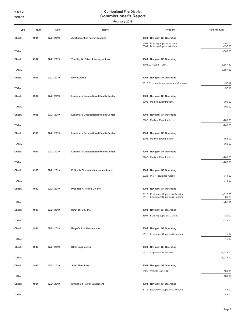| Type         | Num  | Date       | Name                                       | Account                                                             | <b>Paid Amount</b>     |
|--------------|------|------------|--------------------------------------------|---------------------------------------------------------------------|------------------------|
| Check        | 4981 | 02/21/2019 | A. Charpentier Power Systems               | 1001 · Navigant GF Operating                                        |                        |
|              |      |            |                                            | 6301 · Building Supplies & Maint.                                   | $-190.00$              |
| <b>TOTAL</b> |      |            |                                            | 6301 · Building Supplies & Maint.                                   | $-195.00$<br>$-385.00$ |
|              |      |            |                                            |                                                                     |                        |
| Check        | 4982 | 02/21/2019 | Timothy M. Bliss, Attorney at Law          | 1001 · Navigant GF Operating<br>$6703.02 \cdot$ Legal - CBA         | $-3,587.50$            |
| <b>TOTAL</b> |      |            |                                            |                                                                     | $-3,587.50$            |
| Check        | 4983 | 02/21/2019 | <b>Kevin Clarke</b>                        | 1001 · Navigant GF Operating                                        |                        |
|              |      |            |                                            | 6510.01 · Healthcare Insurance -Retirees                            | $-57.19$               |
| <b>TOTAL</b> |      |            |                                            |                                                                     | $-57.19$               |
| Check        | 4984 | 02/21/2019 | <b>Landmark Occupational Health Center</b> | 1001 · Navigant GF Operating                                        |                        |
|              |      |            |                                            | 6906 · Medical Examinations                                         | $-700.00$              |
| <b>TOTAL</b> |      |            |                                            |                                                                     | $-700.00$              |
| Check        | 4985 | 02/21/2019 | <b>Landmark Occupational Health Center</b> | 1001 · Navigant GF Operating                                        |                        |
|              |      |            |                                            | 6906 · Medical Examinations                                         | $-700.00$              |
| <b>TOTAL</b> |      |            |                                            |                                                                     | $-700.00$              |
| Check        | 4986 | 02/21/2019 | <b>Landmark Occupational Health Center</b> | 1001 · Navigant GF Operating                                        |                        |
|              |      |            |                                            | 6906 · Medical Examinations                                         | $-765.00$              |
| <b>TOTAL</b> |      |            |                                            |                                                                     | $-765.00$              |
| Check        | 4987 | 02/21/2019 | <b>Landmark Occupational Health Center</b> | 1001 · Navigant GF Operating                                        |                        |
| <b>TOTAL</b> |      |            |                                            | 6906 · Medical Examinations                                         | $-700.00$<br>$-700.00$ |
|              |      |            |                                            |                                                                     |                        |
| Check        | 4988 | 02/21/2019 | Police & Firemen's Insurance Assoc.        | 1001 · Navigant GF Operating<br>2028 · P & F Insurance Assoc.       | $-741.02$              |
| <b>TOTAL</b> |      |            |                                            |                                                                     | $-741.02$              |
| Check        | 4989 | 02/21/2019 | Prescott H. Peirce Co. Inc.                | 1001 · Navigant GF Operating                                        |                        |
|              |      |            |                                            | 6112 · Equipment Supplies & Repairs                                 | $-616.25$              |
| <b>TOTAL</b> |      |            |                                            | 6112 · Equipment Supplies & Repairs                                 | $-89.76$               |
|              |      |            |                                            |                                                                     | $-706.01$              |
| Check        | 4990 | 02/21/2019 | Kafin Oil Co., Inc.                        | 1001 · Navigant GF Operating                                        |                        |
| <b>TOTAL</b> |      |            |                                            | 6301 · Building Supplies & Maint.                                   | $-129.00$<br>$-129.00$ |
|              |      |            |                                            |                                                                     |                        |
| Check        | 4991 | 02/21/2019 | Roger's Ace Hardware Inc                   | 1001 · Navigant GF Operating<br>6112 · Equipment Supplies & Repairs | $-15.12$               |
| <b>TOTAL</b> |      |            |                                            |                                                                     | $-15.12$               |
| Check        | 4992 | 02/21/2019 | <b>RISE Engineering</b>                    | 1001 · Navigant GF Operating                                        |                        |
|              |      |            |                                            | 7310 · Capital Improvements                                         | $-3,274.00$            |
| <b>TOTAL</b> |      |            |                                            |                                                                     | $-3,274.00$            |
| Check        | 4993 | 02/21/2019 | <b>Shell Fleet Plus</b>                    | 1001 · Navigant GF Operating                                        |                        |
|              |      |            |                                            | 6100 · Vehicle Gas & Oil                                            | $-461.14$              |
| <b>TOTAL</b> |      |            |                                            |                                                                     | $-461.14$              |
| Check        | 4994 | 02/21/2019 | <b>Smithfield Power Equipment</b>          | 1001 · Navigant GF Operating                                        |                        |
|              |      |            |                                            | 6112 · Equipment Supplies & Repairs                                 | $-44.00$               |
| <b>TOTAL</b> |      |            |                                            |                                                                     | $-44.00$               |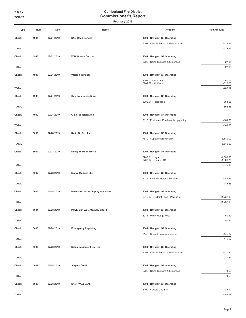| Type         | Num  | Date       | Name                                    | Account                                  | <b>Paid Amount</b>         |
|--------------|------|------------|-----------------------------------------|------------------------------------------|----------------------------|
| Check        | 4995 | 02/21/2019 | <b>S&amp;D Road Service</b>             | 1001 · Navigant GF Operating             |                            |
|              |      |            |                                         | 6101 · Vehicle Repair & Maintenance      | $-118.21$                  |
| <b>TOTAL</b> |      |            |                                         |                                          | $-118.21$                  |
| Check        | 4996 | 02/21/2019 | W.B. Mason Co., Inc                     | 1001 · Navigant GF Operating             |                            |
|              |      |            |                                         | 6705 · Office Supplies & Expenses        | $-27.15$                   |
| <b>TOTAL</b> |      |            |                                         |                                          | $-27.15$                   |
| Check        | 4997 | 02/21/2019 | <b>Verizon Wireless</b>                 | 1001 · Navigant GF Operating             |                            |
|              |      |            |                                         | 6202.02 · Air Cards                      | $-160.04$                  |
| <b>TOTAL</b> |      |            |                                         | 6202.02 · Air Cards                      | $-320.08$<br>$-480.12$     |
|              |      |            |                                         |                                          |                            |
| Check        | 4998 | 02/21/2019 | <b>Cox Communications</b>               | 1001 · Navigant GF Operating             |                            |
| <b>TOTAL</b> |      |            |                                         | $6202.01 \cdot$ Telephone                | $-854.66$<br>$-854.66$     |
|              |      |            |                                         |                                          |                            |
| Check        | 4999 | 02/28/2019 | C & S Specialty, Inc.                   | 1001 · Navigant GF Operating             |                            |
| <b>TOTAL</b> |      |            |                                         | 6110 · Equipment Purchase & Upgrading    | $-161.36$<br>$-161.36$     |
|              |      |            |                                         |                                          |                            |
| Check        | 5000 | 02/28/2019 | Kafin Oil Co., Inc.                     | 1001 · Navigant GF Operating             |                            |
| <b>TOTAL</b> |      |            |                                         | 7310 · Capital Improvements              | $-6,810.00$<br>$-6,810.00$ |
|              |      |            |                                         |                                          |                            |
| Check        | 5001 | 02/28/2019 | <b>Kelley Nickson Morris</b>            | 1001 · Navigant GF Operating             |                            |
|              |      |            |                                         | 6703.01 · Legal<br>6703.02 · Legal - CBA | $-1,506.25$<br>$-1,068.75$ |
| <b>TOTAL</b> |      |            |                                         |                                          | $-2,575.00$                |
| Check        | 5002 | 02/28/2019 | <b>Moore Medical LLC</b>                | 1001 · Navigant GF Operating             |                            |
|              |      |            |                                         | 6125 · First Aid Equip & Supplies        | $-185.85$                  |
| <b>TOTAL</b> |      |            |                                         |                                          | $-185.85$                  |
| Check        | 5003 | 02/28/2019 | <b>Pawtucket Water Supply -Hydrants</b> | 1001 · Navigant GF Operating             |                            |
|              |      |            |                                         | 6215.02 · Hydrant Fees - Pawtucket       | $-11,732.09$               |
| <b>TOTAL</b> |      |            |                                         |                                          | $-11,732.09$               |
| Check        | 5004 | 02/28/2019 | <b>Pawtucket Water Supply Board</b>     | 1001 · Navigant GF Operating             |                            |
|              |      |            |                                         | 6211 · Water Usage Fees                  | $-50.42$                   |
| <b>TOTAL</b> |      |            |                                         |                                          | $-50.42$                   |
| Check        | 5005 | 02/28/2019 | <b>Emergency Reporting</b>              | 1001 · Navigant GF Operating             |                            |
|              |      |            |                                         | 6145 · Shared Communications             | $-445.67$                  |
| <b>TOTAL</b> |      |            |                                         |                                          | $-445.67$                  |
| Check        | 5006 | 02/28/2019 | Ralco Equipment Co., Inc.               | 1001 · Navigant GF Operating             |                            |
|              |      |            |                                         | 6101 · Vehicle Repair & Maintenance      | $-277.84$                  |
| <b>TOTAL</b> |      |            |                                         |                                          | $-277.84$                  |
| Check        | 5007 | 02/28/2019 | <b>Staples Credit</b>                   | 1001 · Navigant GF Operating             |                            |
|              |      |            |                                         | 6705 · Office Supplies & Expenses        | $-74.56$                   |
| <b>TOTAL</b> |      |            |                                         |                                          | $-74.56$                   |
| Check        | 5008 | 02/28/2019 | Shell /WEX Bank                         | 1001 · Navigant GF Operating             |                            |
|              |      |            |                                         | 6100 · Vehicle Gas & Oil                 | $-183.19$                  |
| <b>TOTAL</b> |      |            |                                         |                                          | $-183.19$                  |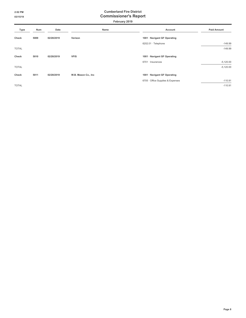| Type         | Num  | Date       | Name                 | Account                           | <b>Paid Amount</b> |
|--------------|------|------------|----------------------|-----------------------------------|--------------------|
| Check        | 5009 | 02/28/2019 | Verizon              | 1001 · Navigant GF Operating      |                    |
|              |      |            |                      | 6202.01 · Telephone               | $-149.99$          |
| <b>TOTAL</b> |      |            |                      |                                   | $-149.99$          |
| Check        | 5010 | 02/28/2019 | <b>VFIS</b>          | 1001 · Navigant GF Operating      |                    |
|              |      |            |                      | $6701 \cdot$ Insurances           | $-5,120.00$        |
| <b>TOTAL</b> |      |            |                      |                                   | $-5,120.00$        |
| Check        | 5011 | 02/28/2019 | W.B. Mason Co., Inc. | 1001 · Navigant GF Operating      |                    |
|              |      |            |                      | 6705 · Office Supplies & Expenses | $-110.91$          |
| <b>TOTAL</b> |      |            |                      |                                   | $-110.91$          |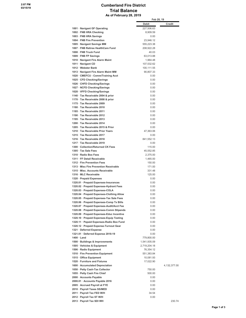#### **Cumberland Fire District Trial Balance As of February 28, 2019**

|                                                                            | Feb 28, 19              |                |
|----------------------------------------------------------------------------|-------------------------|----------------|
|                                                                            | Debit                   | Credit         |
| 1001 · Navigant GF Operating                                               | 227,506.63              |                |
| 1002 · FNB HRA Checking                                                    | 8,909.59                |                |
| 1003 · FNB HRA Savings<br>1004 · FNB Fire Prevention                       | 0.00                    |                |
| 1005 · Navigant Savings MM                                                 | 23.946.12<br>555.223.38 |                |
| 1007 · FNB Retiree HealthCare Fund                                         | 208,922.28              |                |
| 1008 · FNB Truck Fund                                                      | 40.03                   |                |
| 1009 · FNB FP Savings                                                      | 63,013.88               |                |
| 1010 · Navigant Fire Alarm Maint                                           | 1,964.48                |                |
| 1011 · Navigant CD                                                         | 107,532.62              |                |
| 1012 · Webster Bank                                                        | 100,111.55              |                |
| 1013 · Navigant Fire Alarm Maint MM                                        | 90,807.33               |                |
| 1020 CMEFCU - Comm/Training Acct                                           | 0.00                    |                |
| 1025 · CFD Checking/Savings                                                | 0.00                    |                |
| 1026 · CHFD Checking/Savings                                               | 0.00                    |                |
| 1027 · NCFD Checking/Savings                                               | 0.00                    |                |
| 1028 · VFFD Checking/Savings                                               | 0.00                    |                |
| 1140 · Tax Receivable 2004 & prior                                         | 0.00                    |                |
| 1170 · Tax Receivable 2008 & prior<br>1175 · Tax Receivable 2009           | 0.00                    |                |
| 1180 · Tax Receivable 2010                                                 | 0.00<br>0.00            |                |
| 1185 · Tax Receivable 2011                                                 | 0.00                    |                |
| 1190 · Tax Receivable 2012                                                 | 0.00                    |                |
| 1195 · Tax Receivable 2013                                                 | 0.00                    |                |
| 1200 · Tax Receivable 2014                                                 | 0.00                    |                |
| 1205 · Tax Receivable 2015 & Prior                                         | 0.00                    |                |
| 1210 · Tax Receivable Prior Years                                          | 47,363.06               |                |
| 1215 · Tax Receivable 2017                                                 | 0.00                    |                |
| 1216 · Tax Receivable 2018                                                 | 841,552.13              |                |
| 1217 · Tax Receivable 2019                                                 | 0.00                    |                |
| 1300 · Collection/Returned CK Fees                                         | 115.00                  |                |
| 1305 · Tax Sale Fees                                                       | 45,552.85               |                |
| 1310 · Radio Box Fees                                                      | 2,375.00                |                |
| 1311 · FF Detail Receivable                                                | 1,465.00                |                |
| 1312 · Fire Prevention Fees                                                | 150.00                  |                |
| 1313 · Misc Fire Prevention Receivable<br>1315 · Misc. Accounts Receivable | 171.00<br>331.48        |                |
| 1316 · MLC Receivable                                                      | 125.00                  |                |
| 1320 · Prepaid Expenses                                                    | 0.00                    |                |
| 1320.01 · Prepaid Expenses-Insurances                                      | 0.00                    |                |
| 1320.02 · Prepaid Expenses-Hydrant Fees                                    | 0.00                    |                |
| 1320.03 · Prepaid Expenses-COLA                                            | 0.00                    |                |
| 1320.04 · Prepaid Expenses-Clothing Allow                                  | 0.00                    |                |
| 1320.05 · Prepaid Expenses-Tax Sale Fees                                   | 0.00                    |                |
| 1320.06 · Prepaid Expenses-Comp Tx Bills                                   | 0.00                    |                |
| 1320.07 · Prepaid Expenses-Audit/Acct Fee                                  | 0.00                    |                |
| 1320.08 · Prepaid Expenses-Comm Stipends                                   | 0.00                    |                |
| 1320.09 · Prepaid Expenses-Educ Incentive                                  | 0.00                    |                |
| 1320.10 · Prepaid Expenses-Equip Testing                                   | 0.00                    |                |
| 1320.11 · Pepaid Expenses-Radio Box Fund                                   | 0.00                    |                |
| 1320.12 · Prepaid Expense-Turnout Gear                                     | 0.00                    |                |
| 1321 · Deferred Expense<br>1321.01 · Deferred Expense 2018-19              | 0.00<br>0.00            |                |
| 1400 · Land                                                                | 779,800.00              |                |
| 1500 · Buildings & Improvements                                            | 1,541,935.09            |                |
| 1505 · Vehicles & Equipment                                                | 2,719,204.18            |                |
| 1506 · Radio Equipment                                                     | 76,354.12               |                |
| 1510 · Fire Prevention Equipment                                           | 551,383.84              |                |
| 1515 · Office Equipment                                                    | 10,081.93               |                |
| 1520 · Furniture and Fixtures                                              | 17,022.90               |                |
| 1600 · Accumulated Depreciation                                            |                         | 4, 132, 377.00 |
| 1050 · Petty Cash-Tax Collector                                            | 750.00                  |                |
| 1055 · Petty Cash Fire Chief                                               | 500.00                  |                |
| 2000 · Accounts Payable                                                    | 0.00                    |                |
| 2000.01 · Accounts Payable 2016                                            | 0.00                    |                |
| 2005 · Accrued Payroll at FYE                                              | 0.00                    |                |
| 2010 · Payroll Taxes SS/MED                                                | 0.00                    |                |
| 2011 · Payroll Tax FED W/H                                                 | 34.54                   |                |
| 2012 · Payroll Tax ST W/H<br>2013 · Payroll Tax SDI WH                     | 0.00                    | 230.74         |
|                                                                            |                         |                |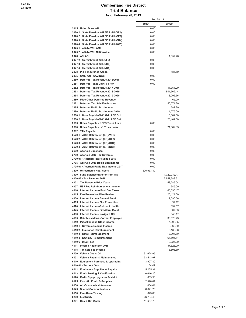### **Cumberland Fire District Trial Balance As of February 28, 2019**

|                                                                                    |              | Feb 28, 19                 |  |
|------------------------------------------------------------------------------------|--------------|----------------------------|--|
|                                                                                    | <b>Debit</b> | Credit                     |  |
| 2015 · Union Dues WH                                                               | 0.00         |                            |  |
| 2020.1 · State Pension WH EE 414H (VF1)                                            | 0.00         |                            |  |
| 2020.2 · State Pension WH EE 414H (CF2)                                            | 0.00         |                            |  |
| 2020.3 · State Pension WH EE 414H (CH4)                                            | 0.00         |                            |  |
| 2020.4 · State Pension WH EE 414H (NC5)                                            | 0.00         |                            |  |
| 2025.1 · 457(b) W/H AMI                                                            | 0.00         |                            |  |
| 2025.2 · 457(b) W/H Nationwide                                                     | 0.00         |                            |  |
| $2026 \cdot AFLAC$                                                                 |              | 1,357.76                   |  |
| 2027.2 · Garnishment WH (CF2)<br>2027.3 · Garnishment WH (CH4)                     | 0.00<br>0.00 |                            |  |
| 2027.4 · Garnishment WH (NC5)                                                      | 0.00         |                            |  |
| 2028 · P & F Insurance Assoc.                                                      |              | 186.69                     |  |
| 2035 · CMEFCU - SAVINGS                                                            | 0.00         |                            |  |
| 2250 · Deferred Tax Revenue 2015/2016                                              | 0.00         |                            |  |
| 2251 · Deferred Taxes 2016 & prior                                                 | 0.00         |                            |  |
| 2252 · Deferred Tax Revenue 2017-2018                                              |              | 41,751.29                  |  |
| 2253 Deferred Tax Revenue 2018-2019                                                |              | 841,562.44                 |  |
| 2254 · Deferred Tax Revenue 2019-2020                                              |              | 3.096.66                   |  |
| 2280 · Misc Other Deferred Revenue                                                 |              | 65.00                      |  |
| 2281 · Deferred Tax Sale Fee Income                                                |              | 50,071.80                  |  |
| 2285 · Deferred Radio Box Income                                                   |              | 587.29                     |  |
| 2286 · Deferred Radio Box Income 2019                                              |              | 1,075.00                   |  |
| 2500.1 · Note Payable-Nat'l Grid LED S-1                                           |              | 15,382.50                  |  |
| 2500.2 · Note Payable-Nat'l Grid LED S-4<br>2505 · Notes Payable - NCFD Truck Loan | 0.00         | 23,409.50                  |  |
| 2510 · Notes Payable - L-1 Truck Loan                                              |              | 71,362.85                  |  |
| 2512 · TAN Payable                                                                 | 0.00         |                            |  |
| 2520.1 · ACC. Retirement (ER)(VF1)                                                 | 0.00         |                            |  |
| 2520.2 · ACC. Retirement (ER)(CF2)                                                 | 0.00         |                            |  |
| 2520.3 · ACC. Retirement (ER)(CH4)                                                 | 0.00         |                            |  |
| 2520.4 · ACC. Retirement (ER)(NC5)                                                 | 0.00         |                            |  |
| 2600 · Accrued Expenses                                                            | 0.00         |                            |  |
| 2700 Accrued 2016 Tax Revenue                                                      | 0.00         |                            |  |
| 2700.01 · Accrued Tax Revenue 2017                                                 | 0.00         |                            |  |
| 2705 · Accrued 2016 Radio Box Income                                               | 0.00         |                            |  |
| 2705.01 · Accrued Radio Box Income 2017                                            | 0.00         |                            |  |
| 3200 · Unrestricted Net Assets                                                     | 525,953.89   |                            |  |
| 3300 · Fund Balance transfer from Old                                              |              | 1,722,932.47               |  |
| 4000.03 · Tax Revenue 2018<br>4001 · Tax Revenue Prior Years                       |              | 6,857,388.61<br>158,289.04 |  |
| 4007 · NSF Fee Reimbursement Income                                                |              | 345.00                     |  |
| 4010 · Interest Income- Past Due Taxes                                             |              | 66,090.47                  |  |
| 4015 · Fire Prevention/Plan Review                                                 |              | 26,421.00                  |  |
| 4050 · Interest Income General Fund                                                |              | 7,090.56                   |  |
| 4065 · Interest Income Fire Prevention                                             |              | 97.12                      |  |
| 4070 · Interest Income-Retiremt Health                                             |              | 332.57                     |  |
| 4075 · Interest Income FireAlarm Maint                                             |              | 807.33                     |  |
| 4080 · Interest Income Navigant CD                                                 |              | 949.17                     |  |
| 4105 · Reimbursed Ins.-Former Employee                                             |              | 39,676.73                  |  |
| 4110 · Miscellaneous Other Income                                                  |              | 4,602.95                   |  |
| 4110.1 · Revenue Rescue Income                                                     |              | 13,069.80                  |  |
| 4110.2 · Insurance Reimbursement                                                   |              | 5,135.68                   |  |
| 4110.3 · Detail Reimbursement<br>4110.4 · IOD Ins. Reimbursement                   |              | 18,904.70<br>67,505.14     |  |
| $4110.6 \cdot MLC$ Fees                                                            |              | 19,025.00                  |  |
| 4111 · Income Radio Box 2018                                                       |              | 37,525.00                  |  |
| 4115 · Tax Sale Fee Income                                                         |              | 15,896.89                  |  |
| 6100 · Vehicle Gas & Oil                                                           | 31,624.95    |                            |  |
| 6101 · Vehicle Repair & Maintenance                                                | 73,543.97    |                            |  |
| 6110 · Equipment Purchase & Upgrading                                              | 3,997.89     |                            |  |
| 6110.01 · Turnout Gear                                                             | 34.42        |                            |  |
| 6112 · Equipment Supplies & Repairs                                                | 5,255.31     |                            |  |
| 6113 · Equip Testing & Certification                                               | 6,616.20     |                            |  |
| 6120 · Radio Equip Upgrades & Maint                                                | 609.90       |                            |  |
| 6125 · First Aid Equip & Supplies                                                  | 2,378.81     |                            |  |
| 6130 · Air Cascade Maintenance                                                     | 1,004.04     |                            |  |
| 6145 · Shared Communications                                                       | 6,671.79     |                            |  |
| 6150 · Fire Alarm Testing                                                          | 673.00       |                            |  |
| 6200 · Electricity                                                                 | 26,764.45    |                            |  |
| 6201 · Gas & Hot Water                                                             | 11,657.76    |                            |  |